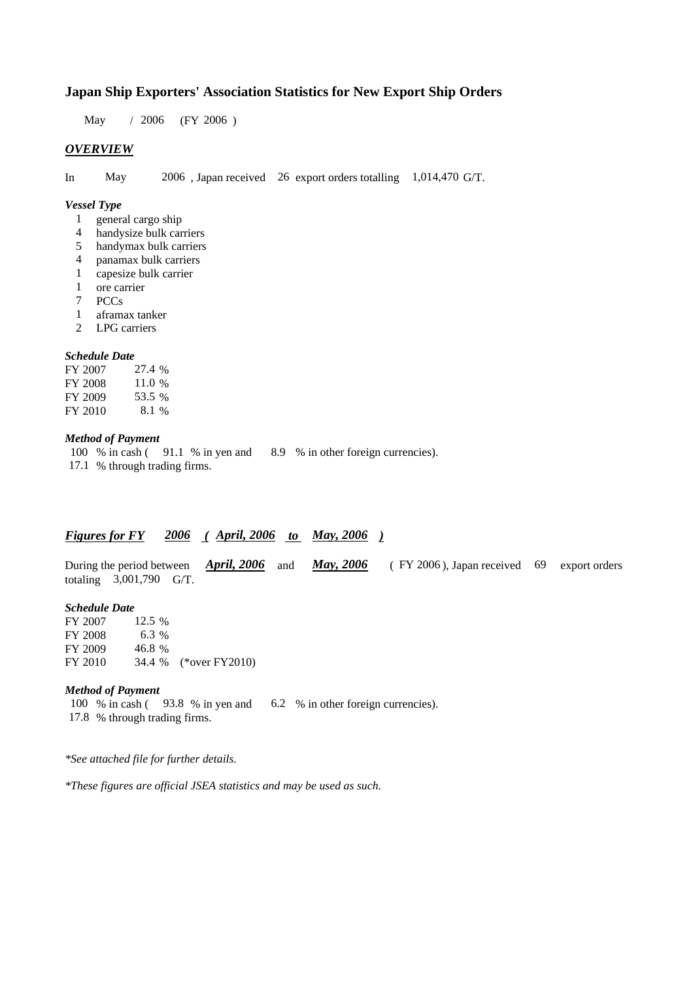### **Japan Ship Exporters' Association Statistics for New Export Ship Orders**

 $/ 2006$  (FY 2006) May / 2006

#### *OVERVIEW*

In May 2006, Japan received 26 export orders totalling 1,014,470 G/T.

#### *Vessel Type*

- 1 general cargo ship
- handysize bulk carriers 4
- handymax bulk carriers 5
- panamax bulk carriers 4
- capesize bulk carrier 1
- ore carrier 1
- 7 PCCs
- aframax tanker 1
- LPG carriers 2

#### *Schedule Date*

FY 2007 FY 2008 FY 2009 FY 2010 53.5 8.1 % 27.4 % 11.0 %

#### *Method of Payment*

100 % in cash (91.1 % in yen and 8.9 % in other foreign currencies). 17.1 % through trading firms.

### *Figures for FY* 2006 (April, 2006 to May, 2006)

During the period between *April, 2006* and *May, 2006* (FY 2006), Japan received 69 export orders totaling  $3,001,790$  G/T. *April, 2006* and *May, 2006* 

#### *Schedule Date*

FY 2007 FY 2008 FY 2009 FY 2010 34.4 % (\*over FY2010) 46.8% 12.5 % 6.3 %

#### *Method of Payment*

100 % in cash (93.8 % in yen and 6.2 % in other foreign currencies). % through trading firms. 17.8

*\*See attached file for further details.*

*\*These figures are official JSEA statistics and may be used as such.*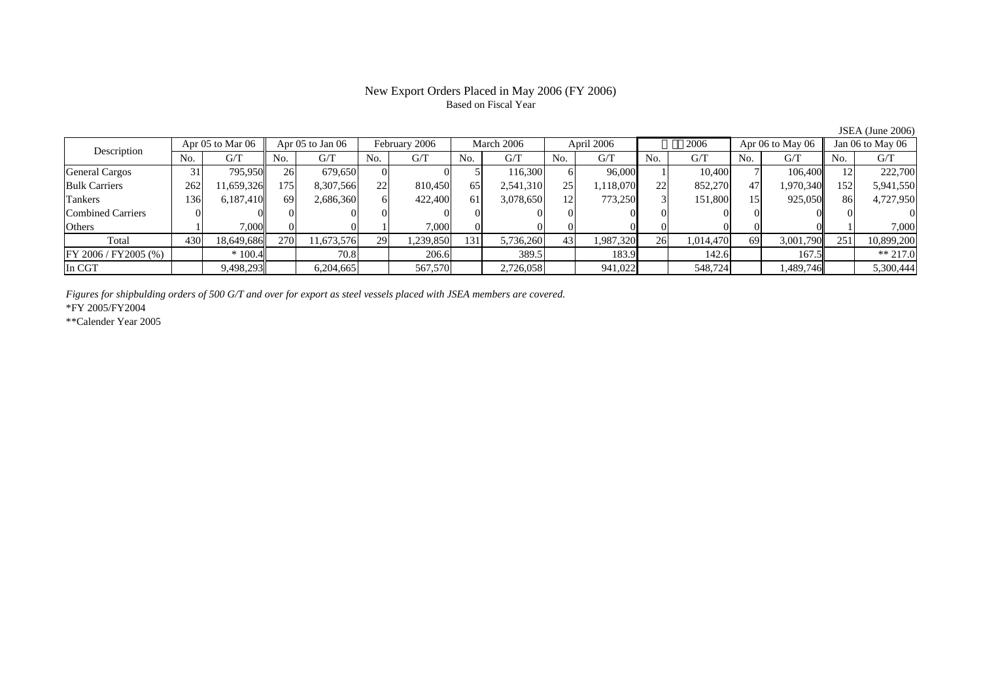# Based on Fiscal Year

Description Apr 05 to Mar 06 Apr 05 to Jan 06 February 2006 March 2006 April 2006 2006 Apr 06 to May 06 Jan 06 to May 06 No. $No.$   $G/T$ T || No. | G/T || No. | G/T || No. | G/T || No. | G/T || G/T || No. | G/T || No. | G/T || No. | G/T General Cargos ( 31 795,950 26 679,650 0 0 5 116,300 6 96,000 1 10,400 7 106,400 12 222,700 Bulk Carriers 2622| 11,659,326|| 175| 8,307,566| 22| 810,450| 65| 2,541,310| 25| 1,118,070| 22| 852,270| 47| 1,970,340|| 152| 5,941,550 Tankers 1366,187,410|| 69| 2,686,360| 6| 422,400| 61| 3,078,650| 12| 773,250| 3| 151,800| 15| 925,050|| 86| 4,727,950 Combined Carriers 1 0 0 0 0 0 0 0 0 0 0 0 0 0 0 0 0 **Others**  $\sim$  1  $\sim$  1 1 7,000 이 이 1 7,000 이 이 이 이 이 이 이 이 1 7,000 Total 4300| 18,649,686|| 270| 11,673,576| 29| 1,239,850| 131| 5,736,260| 43| 1,987,320| 26| 1,014,470| 69| 3,001,790|| 251| 10,899,200 FY 2006 / FY2005 (%) \* 100.4 70.8 206.6 389.5 183.9 142.6 167.5 \*\* 217.0 In CGT9,498,293 6,204,665 567,570 2,726,058 941,022 548,724 1,489,746 5,300,444

*Figures for shipbulding orders of 500 G/T and over for export as steel vessels placed with JSEA members are covered.*

\*FY 2005/FY2004

\*\*Calender Year 2005

JSEA (June 2006)

# New Export Orders Placed in May 2006 (FY 2006)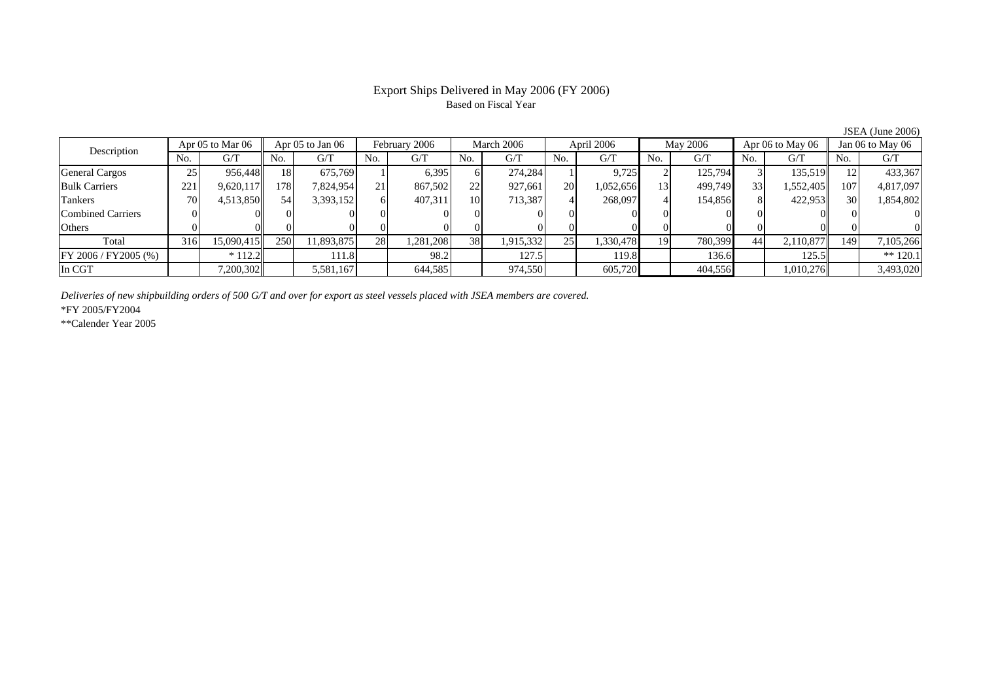# Based on Fiscal Year

Description Apr 05 to Mar 06 Apr 05 to Jan 06 February 2006 March 2006 April 2006 May 2006 Apr 06 to May 06 Jan 06 to May 06<br>No. 1 G/T No. 1 G/T No. 1 G/T No. 1 G/T No. 1 G/T No. 1 G/T No. 1 G/T No. 1 G/T No. 1 G/T No. 1 G No.  $G/T$ T || No. | G/T || No. | G/T || No. | G/T || No. | G/T || G/T || No. | G/T || No. | G/T || No. | G/T General Cargos ( 25 956,448 18 675,769 1 6,395 6 274,284 1 9,725 2 125,794 3 135,519 12 433,367 Bulk Carriers 221 9,620,117 178 7,824,954 21 867,502 22 927,661 20 1,052,656 13 499,749 33 1,552,405 107 4,817,097 Tankers 700| 4,513,850|| 54| 3,393,152| 6| 407,311| 10| 713,387| 4| 268,097| 4| 154,856| 8| 422,953|| 30| 1,854,802 Combined Carriers 0 0 0 0 0 0 0 0 0 0 0 0 0 0 0 0 **Others** s and  $\overline{\phantom{a}}$  0 0 0 0 0 0 0 0 0 0 0 0 0 0 0 0 Total 3166| 15,090,415|| 250| 11,893,875| 28| 1,281,208| 38| 1,915,332| 25| 1,330,478| 19| 780,399| 44| 2,110,877|| 149| 7,105,266 FY 2006 / FY2005 (%) \* 112.2 111.8 98.2 127.5 119.8 136.6 125.5 \*\* 120.1 In CGTT 7,200,302 5,581,167 644,585 974,550 605,720 404,556 1,010,276 3,493,020

*Deliveries of new shipbuilding orders of 500 G/T and over for export as steel vessels placed with JSEA members are covered.*

\*FY 2005/FY2004

\*\*Calender Year 2005

JSEA (June 2006)

# Export Ships Delivered in May 2006 (FY 2006)